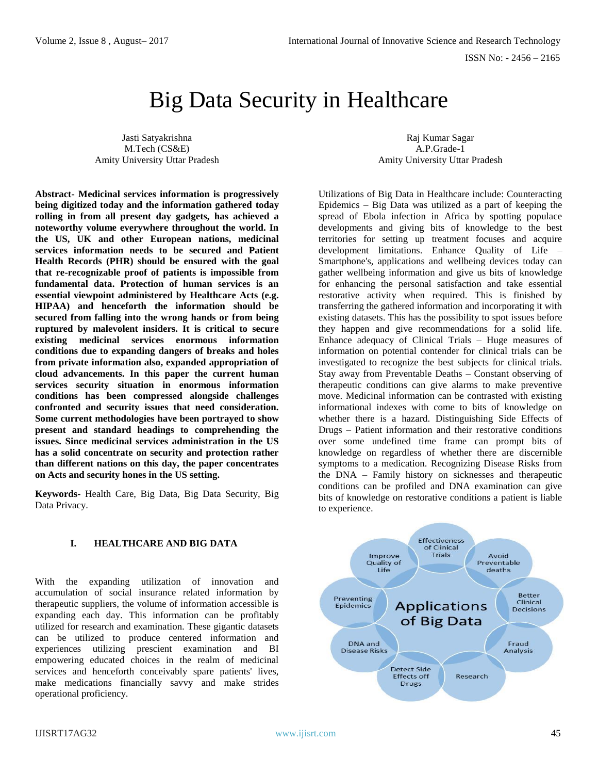ISSN No: - 2456 – 2165

# Big Data Security in Healthcare

Jasti Satyakrishna M.Tech (CS&E) Amity University Uttar Pradesh

Raj Kumar Sagar A.P.Grade-1 Amity University Uttar Pradesh

**Abstract- Medicinal services information is progressively being digitized today and the information gathered today rolling in from all present day gadgets, has achieved a noteworthy volume everywhere throughout the world. In the US, UK and other European nations, medicinal services information needs to be secured and Patient Health Records (PHR) should be ensured with the goal that re-recognizable proof of patients is impossible from fundamental data. Protection of human services is an essential viewpoint administered by Healthcare Acts (e.g. HIPAA) and henceforth the information should be secured from falling into the wrong hands or from being ruptured by malevolent insiders. It is critical to secure existing medicinal services enormous information conditions due to expanding dangers of breaks and holes from private information also, expanded appropriation of cloud advancements. In this paper the current human services security situation in enormous information conditions has been compressed alongside challenges confronted and security issues that need consideration. Some current methodologies have been portrayed to show present and standard headings to comprehending the issues. Since medicinal services administration in the US has a solid concentrate on security and protection rather than different nations on this day, the paper concentrates on Acts and security hones in the US setting.**

**Keywords-** Health Care, Big Data, Big Data Security, Big Data Privacy.

### **I. HEALTHCARE AND BIG DATA**

With the expanding utilization of innovation and accumulation of social insurance related information by therapeutic suppliers, the volume of information accessible is expanding each day. This information can be profitably utilized for research and examination. These gigantic datasets can be utilized to produce centered information and experiences utilizing prescient examination and BI empowering educated choices in the realm of medicinal services and henceforth conceivably spare patients' lives, make medications financially savvy and make strides operational proficiency.

Utilizations of Big Data in Healthcare include: Counteracting Epidemics – Big Data was utilized as a part of keeping the spread of Ebola infection in Africa by spotting populace developments and giving bits of knowledge to the best territories for setting up treatment focuses and acquire development limitations. Enhance Quality of Life – Smartphone's, applications and wellbeing devices today can gather wellbeing information and give us bits of knowledge for enhancing the personal satisfaction and take essential restorative activity when required. This is finished by transferring the gathered information and incorporating it with existing datasets. This has the possibility to spot issues before they happen and give recommendations for a solid life. Enhance adequacy of Clinical Trials – Huge measures of information on potential contender for clinical trials can be investigated to recognize the best subjects for clinical trials. Stay away from Preventable Deaths – Constant observing of therapeutic conditions can give alarms to make preventive move. Medicinal information can be contrasted with existing informational indexes with come to bits of knowledge on whether there is a hazard. Distinguishing Side Effects of Drugs – Patient information and their restorative conditions over some undefined time frame can prompt bits of knowledge on regardless of whether there are discernible symptoms to a medication. Recognizing Disease Risks from the DNA – Family history on sicknesses and therapeutic conditions can be profiled and DNA examination can give bits of knowledge on restorative conditions a patient is liable to experience.

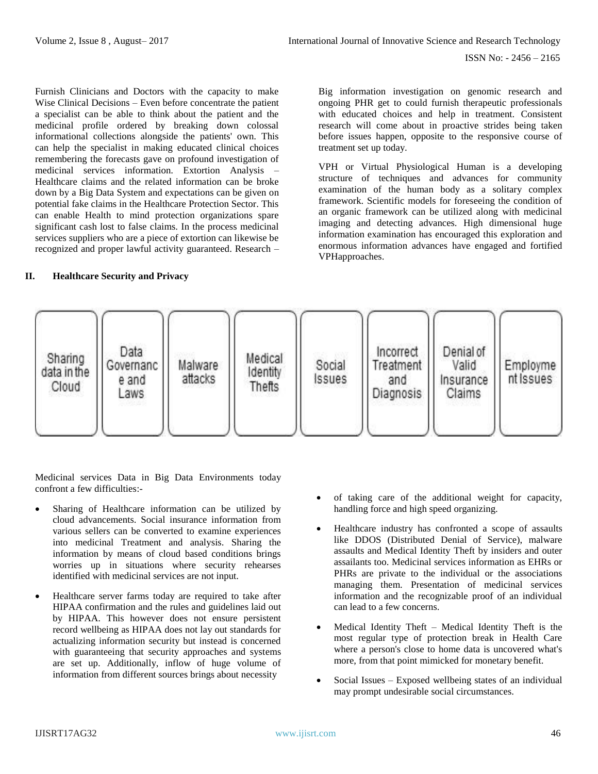Furnish Clinicians and Doctors with the capacity to make Wise Clinical Decisions – Even before concentrate the patient a specialist can be able to think about the patient and the medicinal profile ordered by breaking down colossal informational collections alongside the patients' own. This can help the specialist in making educated clinical choices remembering the forecasts gave on profound investigation of medicinal services information. Extortion Analysis – Healthcare claims and the related information can be broke down by a Big Data System and expectations can be given on potential fake claims in the Healthcare Protection Sector. This can enable Health to mind protection organizations spare significant cash lost to false claims. In the process medicinal services suppliers who are a piece of extortion can likewise be recognized and proper lawful activity guaranteed. Research –

#### **II. Healthcare Security and Privacy**

Big information investigation on genomic research and ongoing PHR get to could furnish therapeutic professionals with educated choices and help in treatment. Consistent research will come about in proactive strides being taken before issues happen, opposite to the responsive course of treatment set up today.

VPH or Virtual Physiological Human is a developing structure of techniques and advances for community examination of the human body as a solitary complex framework. Scientific models for foreseeing the condition of an organic framework can be utilized along with medicinal imaging and detecting advances. High dimensional huge information examination has encouraged this exploration and enormous information advances have engaged and fortified VPHapproaches.



Medicinal services Data in Big Data Environments today confront a few difficulties:-

- Sharing of Healthcare information can be utilized by cloud advancements. Social insurance information from various sellers can be converted to examine experiences into medicinal Treatment and analysis. Sharing the information by means of cloud based conditions brings worries up in situations where security rehearses identified with medicinal services are not input.
- Healthcare server farms today are required to take after HIPAA confirmation and the rules and guidelines laid out by HIPAA. This however does not ensure persistent record wellbeing as HIPAA does not lay out standards for actualizing information security but instead is concerned with guaranteeing that security approaches and systems are set up. Additionally, inflow of huge volume of information from different sources brings about necessity
- of taking care of the additional weight for capacity, handling force and high speed organizing.
- Healthcare industry has confronted a scope of assaults like DDOS (Distributed Denial of Service), malware assaults and Medical Identity Theft by insiders and outer assailants too. Medicinal services information as EHRs or PHRs are private to the individual or the associations managing them. Presentation of medicinal services information and the recognizable proof of an individual can lead to a few concerns.
- Medical Identity Theft Medical Identity Theft is the most regular type of protection break in Health Care where a person's close to home data is uncovered what's more, from that point mimicked for monetary benefit.
- Social Issues Exposed wellbeing states of an individual may prompt undesirable social circumstances.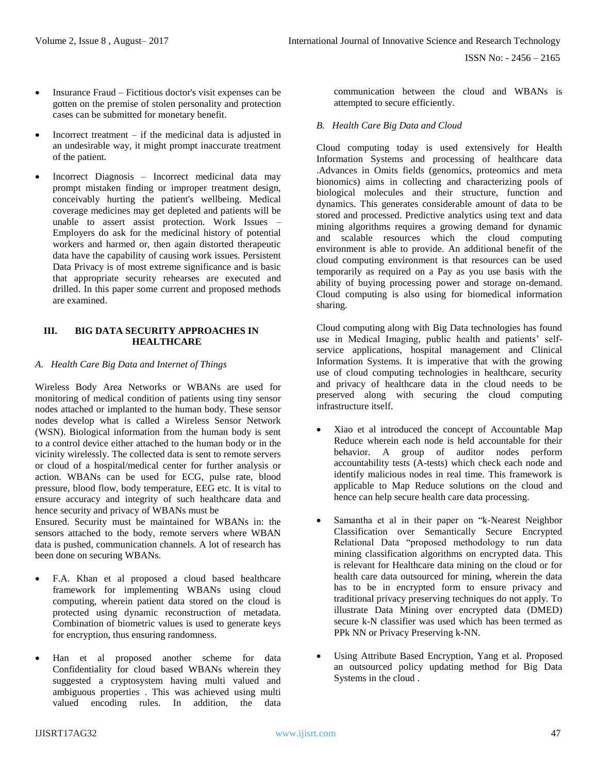- Insurance Fraud Fictitious doctor's visit expenses can be gotten on the premise of stolen personality and protection cases can be submitted for monetary benefit.
- Incorrect treatment  $-$  if the medicinal data is adjusted in an undesirable way, it might prompt inaccurate treatment of the patient.
- Incorrect Diagnosis Incorrect medicinal data may prompt mistaken finding or improper treatment design, conceivably hurting the patient's wellbeing. Medical coverage medicines may get depleted and patients will be unable to assert assist protection. Work Issues – Employers do ask for the medicinal history of potential workers and harmed or, then again distorted therapeutic data have the capability of causing work issues. Persistent Data Privacy is of most extreme significance and is basic that appropriate security rehearses are executed and drilled. In this paper some current and proposed methods are examined.

#### **III. BIG DATA SECURITY APPROACHES IN HEALTHCARE**

### *A. Health Care Big Data and Internet of Things*

Wireless Body Area Networks or WBANs are used for monitoring of medical condition of patients using tiny sensor nodes attached or implanted to the human body. These sensor nodes develop what is called a Wireless Sensor Network (WSN). Biological information from the human body is sent to a control device either attached to the human body or in the vicinity wirelessly. The collected data is sent to remote servers or cloud of a hospital/medical center for further analysis or action. WBANs can be used for ECG, pulse rate, blood pressure, blood flow, body temperature, EEG etc. It is vital to ensure accuracy and integrity of such healthcare data and hence security and privacy of WBANs must be

Ensured. Security must be maintained for WBANs in: the sensors attached to the body, remote servers where WBAN data is pushed, communication channels. A lot of research has been done on securing WBANs.

- F.A. Khan et al proposed a cloud based healthcare framework for implementing WBANs using cloud computing, wherein patient data stored on the cloud is protected using dynamic reconstruction of metadata. Combination of biometric values is used to generate keys for encryption, thus ensuring randomness.
- Han et al proposed another scheme for data Confidentiality for cloud based WBANs wherein they suggested a cryptosystem having multi valued and ambiguous properties . This was achieved using multi valued encoding rules. In addition, the data

communication between the cloud and WBANs is attempted to secure efficiently.

## *B. Health Care Big Data and Cloud*

Cloud computing today is used extensively for Health Information Systems and processing of healthcare data .Advances in Omits fields (genomics, proteomics and meta bionomics) aims in collecting and characterizing pools of biological molecules and their structure, function and dynamics. This generates considerable amount of data to be stored and processed. Predictive analytics using text and data mining algorithms requires a growing demand for dynamic and scalable resources which the cloud computing environment is able to provide. An additional benefit of the cloud computing environment is that resources can be used temporarily as required on a Pay as you use basis with the ability of buying processing power and storage on-demand. Cloud computing is also using for biomedical information sharing.

Cloud computing along with Big Data technologies has found use in Medical Imaging, public health and patients' selfservice applications, hospital management and Clinical Information Systems. It is imperative that with the growing use of cloud computing technologies in healthcare, security and privacy of healthcare data in the cloud needs to be preserved along with securing the cloud computing infrastructure itself.

- Xiao et al introduced the concept of Accountable Map Reduce wherein each node is held accountable for their behavior. A group of auditor nodes perform accountability tests (A-tests) which check each node and identify malicious nodes in real time. This framework is applicable to Map Reduce solutions on the cloud and hence can help secure health care data processing.
- Samantha et al in their paper on "k-Nearest Neighbor Classification over Semantically Secure Encrypted Relational Data "proposed methodology to run data mining classification algorithms on encrypted data. This is relevant for Healthcare data mining on the cloud or for health care data outsourced for mining, wherein the data has to be in encrypted form to ensure privacy and traditional privacy preserving techniques do not apply. To illustrate Data Mining over encrypted data (DMED) secure k-N classifier was used which has been termed as PPk NN or Privacy Preserving k-NN.
- Using Attribute Based Encryption, Yang et al. Proposed an outsourced policy updating method for Big Data Systems in the cloud .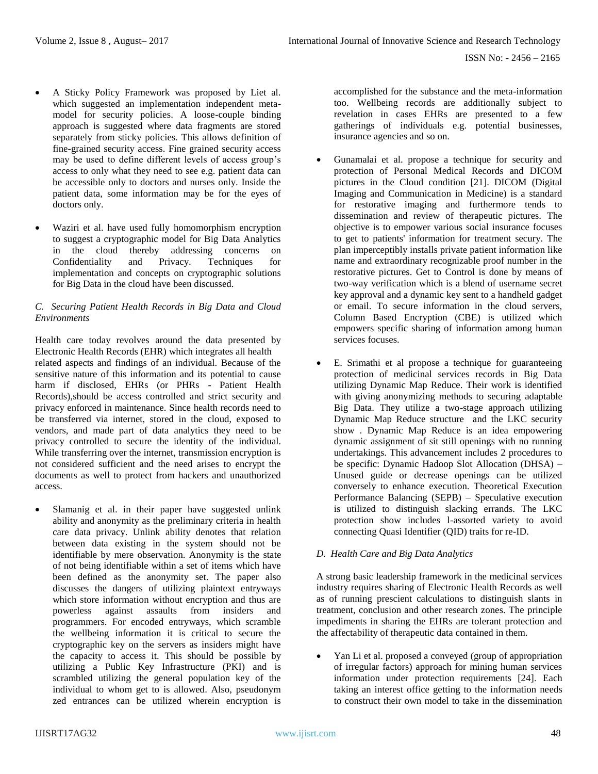- A Sticky Policy Framework was proposed by Liet al. which suggested an implementation independent metamodel for security policies. A loose-couple binding approach is suggested where data fragments are stored separately from sticky policies. This allows definition of fine-grained security access. Fine grained security access may be used to define different levels of access group's access to only what they need to see e.g. patient data can be accessible only to doctors and nurses only. Inside the patient data, some information may be for the eyes of doctors only.
- Waziri et al. have used fully homomorphism encryption to suggest a cryptographic model for Big Data Analytics in the cloud thereby addressing concerns on Confidentiality and Privacy. Techniques for implementation and concepts on cryptographic solutions for Big Data in the cloud have been discussed.

### *C. Securing Patient Health Records in Big Data and Cloud Environments*

Health care today revolves around the data presented by Electronic Health Records (EHR) which integrates all health related aspects and findings of an individual. Because of the sensitive nature of this information and its potential to cause harm if disclosed, EHRs (or PHRs - Patient Health Records),should be access controlled and strict security and privacy enforced in maintenance. Since health records need to be transferred via internet, stored in the cloud, exposed to vendors, and made part of data analytics they need to be privacy controlled to secure the identity of the individual. While transferring over the internet, transmission encryption is not considered sufficient and the need arises to encrypt the documents as well to protect from hackers and unauthorized access.

Slamanig et al. in their paper have suggested unlink ability and anonymity as the preliminary criteria in health care data privacy. Unlink ability denotes that relation between data existing in the system should not be identifiable by mere observation. Anonymity is the state of not being identifiable within a set of items which have been defined as the anonymity set. The paper also discusses the dangers of utilizing plaintext entryways which store information without encryption and thus are powerless against assaults from insiders and programmers. For encoded entryways, which scramble the wellbeing information it is critical to secure the cryptographic key on the servers as insiders might have the capacity to access it. This should be possible by utilizing a Public Key Infrastructure (PKI) and is scrambled utilizing the general population key of the individual to whom get to is allowed. Also, pseudonym zed entrances can be utilized wherein encryption is

accomplished for the substance and the meta-information too. Wellbeing records are additionally subject to revelation in cases EHRs are presented to a few gatherings of individuals e.g. potential businesses, insurance agencies and so on.

- Gunamalai et al. propose a technique for security and protection of Personal Medical Records and DICOM pictures in the Cloud condition [21]. DICOM (Digital Imaging and Communication in Medicine) is a standard for restorative imaging and furthermore tends to dissemination and review of therapeutic pictures. The objective is to empower various social insurance focuses to get to patients' information for treatment secury. The plan imperceptibly installs private patient information like name and extraordinary recognizable proof number in the restorative pictures. Get to Control is done by means of two-way verification which is a blend of username secret key approval and a dynamic key sent to a handheld gadget or email. To secure information in the cloud servers, Column Based Encryption (CBE) is utilized which empowers specific sharing of information among human services focuses.
- E. Srimathi et al propose a technique for guaranteeing protection of medicinal services records in Big Data utilizing Dynamic Map Reduce. Their work is identified with giving anonymizing methods to securing adaptable Big Data. They utilize a two-stage approach utilizing Dynamic Map Reduce structure and the LKC security show . Dynamic Map Reduce is an idea empowering dynamic assignment of sit still openings with no running undertakings. This advancement includes 2 procedures to be specific: Dynamic Hadoop Slot Allocation (DHSA) – Unused guide or decrease openings can be utilized conversely to enhance execution. Theoretical Execution Performance Balancing (SEPB) – Speculative execution is utilized to distinguish slacking errands. The LKC protection show includes l-assorted variety to avoid connecting Quasi Identifier (QID) traits for re-ID.

### *D. Health Care and Big Data Analytics*

A strong basic leadership framework in the medicinal services industry requires sharing of Electronic Health Records as well as of running prescient calculations to distinguish slants in treatment, conclusion and other research zones. The principle impediments in sharing the EHRs are tolerant protection and the affectability of therapeutic data contained in them.

• Yan Li et al. proposed a conveyed (group of appropriation of irregular factors) approach for mining human services information under protection requirements [24]. Each taking an interest office getting to the information needs to construct their own model to take in the dissemination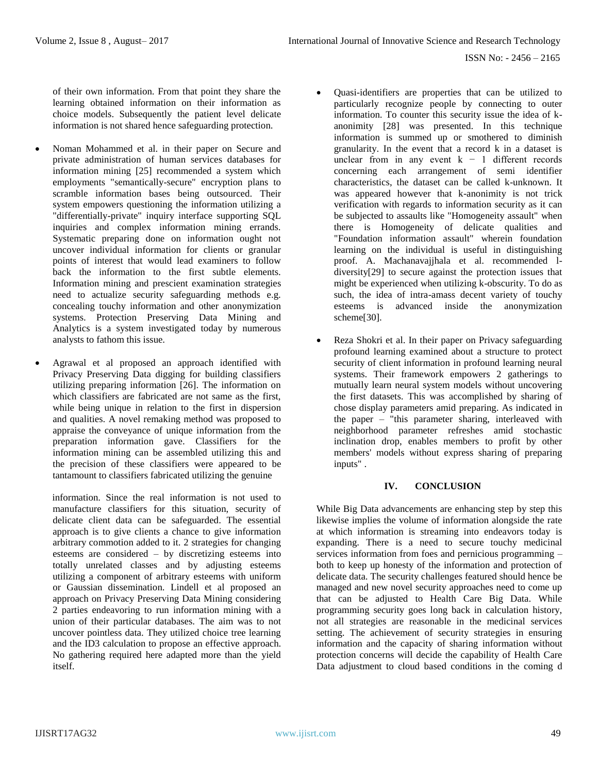ISSN No: - 2456 – 2165

of their own information. From that point they share the learning obtained information on their information as choice models. Subsequently the patient level delicate information is not shared hence safeguarding protection.

- Noman Mohammed et al. in their paper on Secure and private administration of human services databases for information mining [25] recommended a system which employments "semantically-secure" encryption plans to scramble information bases being outsourced. Their system empowers questioning the information utilizing a "differentially-private" inquiry interface supporting SQL inquiries and complex information mining errands. Systematic preparing done on information ought not uncover individual information for clients or granular points of interest that would lead examiners to follow back the information to the first subtle elements. Information mining and prescient examination strategies need to actualize security safeguarding methods e.g. concealing touchy information and other anonymization systems. Protection Preserving Data Mining and Analytics is a system investigated today by numerous analysts to fathom this issue.
- Agrawal et al proposed an approach identified with Privacy Preserving Data digging for building classifiers utilizing preparing information [26]. The information on which classifiers are fabricated are not same as the first, while being unique in relation to the first in dispersion and qualities. A novel remaking method was proposed to appraise the conveyance of unique information from the preparation information gave. Classifiers for the information mining can be assembled utilizing this and the precision of these classifiers were appeared to be tantamount to classifiers fabricated utilizing the genuine

 information. Since the real information is not used to manufacture classifiers for this situation, security of delicate client data can be safeguarded. The essential approach is to give clients a chance to give information arbitrary commotion added to it. 2 strategies for changing esteems are considered – by discretizing esteems into totally unrelated classes and by adjusting esteems utilizing a component of arbitrary esteems with uniform or Gaussian dissemination. Lindell et al proposed an approach on Privacy Preserving Data Mining considering 2 parties endeavoring to run information mining with a union of their particular databases. The aim was to not uncover pointless data. They utilized choice tree learning and the ID3 calculation to propose an effective approach. No gathering required here adapted more than the yield itself.

- Quasi-identifiers are properties that can be utilized to particularly recognize people by connecting to outer information. To counter this security issue the idea of kanonimity [28] was presented. In this technique information is summed up or smothered to diminish granularity. In the event that a record k in a dataset is unclear from in any event  $k - 1$  different records concerning each arrangement of semi identifier characteristics, the dataset can be called k-unknown. It was appeared however that k-anonimity is not trick verification with regards to information security as it can be subjected to assaults like "Homogeneity assault" when there is Homogeneity of delicate qualities and "Foundation information assault" wherein foundation learning on the individual is useful in distinguishing proof. A. Machanavajjhala et al. recommended ldiversity[29] to secure against the protection issues that might be experienced when utilizing k-obscurity. To do as such, the idea of intra-amass decent variety of touchy esteems is advanced inside the anonymization scheme[30].
- Reza Shokri et al. In their paper on Privacy safeguarding profound learning examined about a structure to protect security of client information in profound learning neural systems. Their framework empowers 2 gatherings to mutually learn neural system models without uncovering the first datasets. This was accomplished by sharing of chose display parameters amid preparing. As indicated in the paper – "this parameter sharing, interleaved with neighborhood parameter refreshes amid stochastic inclination drop, enables members to profit by other members' models without express sharing of preparing inputs" .

### **IV. CONCLUSION**

While Big Data advancements are enhancing step by step this likewise implies the volume of information alongside the rate at which information is streaming into endeavors today is expanding. There is a need to secure touchy medicinal services information from foes and pernicious programming – both to keep up honesty of the information and protection of delicate data. The security challenges featured should hence be managed and new novel security approaches need to come up that can be adjusted to Health Care Big Data. While programming security goes long back in calculation history, not all strategies are reasonable in the medicinal services setting. The achievement of security strategies in ensuring information and the capacity of sharing information without protection concerns will decide the capability of Health Care Data adjustment to cloud based conditions in the coming d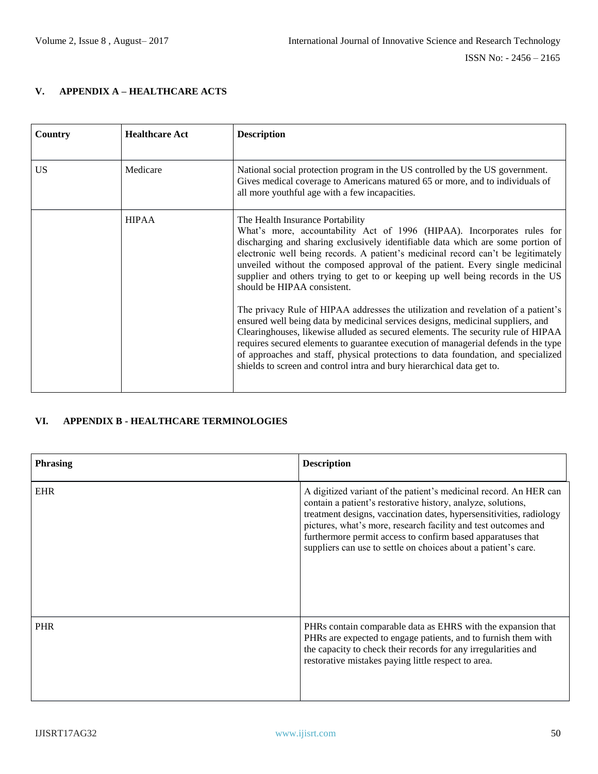# **V. APPENDIX A – HEALTHCARE ACTS**

| Country | <b>Healthcare Act</b> | <b>Description</b>                                                                                                                                                                                                                                                                                                                                                                                                                                                                                            |
|---------|-----------------------|---------------------------------------------------------------------------------------------------------------------------------------------------------------------------------------------------------------------------------------------------------------------------------------------------------------------------------------------------------------------------------------------------------------------------------------------------------------------------------------------------------------|
| US.     | Medicare              | National social protection program in the US controlled by the US government.<br>Gives medical coverage to Americans matured 65 or more, and to individuals of<br>all more youthful age with a few incapacities.                                                                                                                                                                                                                                                                                              |
|         | <b>HIPAA</b>          | The Health Insurance Portability<br>What's more, accountability Act of 1996 (HIPAA). Incorporates rules for<br>discharging and sharing exclusively identifiable data which are some portion of<br>electronic well being records. A patient's medicinal record can't be legitimately<br>unveiled without the composed approval of the patient. Every single medicinal<br>supplier and others trying to get to or keeping up well being records in the US<br>should be HIPAA consistent.                        |
|         |                       | The privacy Rule of HIPAA addresses the utilization and revelation of a patient's<br>ensured well being data by medicinal services designs, medicinal suppliers, and<br>Clearinghouses, likewise alluded as secured elements. The security rule of HIPAA<br>requires secured elements to guarantee execution of managerial defends in the type<br>of approaches and staff, physical protections to data foundation, and specialized<br>shields to screen and control intra and bury hierarchical data get to. |

## **VI. APPENDIX B - HEALTHCARE TERMINOLOGIES**

| <b>Phrasing</b> | <b>Description</b>                                                                                                                                                                                                                                                                                                                                                                                          |
|-----------------|-------------------------------------------------------------------------------------------------------------------------------------------------------------------------------------------------------------------------------------------------------------------------------------------------------------------------------------------------------------------------------------------------------------|
| <b>EHR</b>      | A digitized variant of the patient's medicinal record. An HER can<br>contain a patient's restorative history, analyze, solutions,<br>treatment designs, vaccination dates, hypersensitivities, radiology<br>pictures, what's more, research facility and test outcomes and<br>furthermore permit access to confirm based apparatuses that<br>suppliers can use to settle on choices about a patient's care. |
| <b>PHR</b>      | PHRs contain comparable data as EHRS with the expansion that<br>PHRs are expected to engage patients, and to furnish them with<br>the capacity to check their records for any irregularities and<br>restorative mistakes paying little respect to area.                                                                                                                                                     |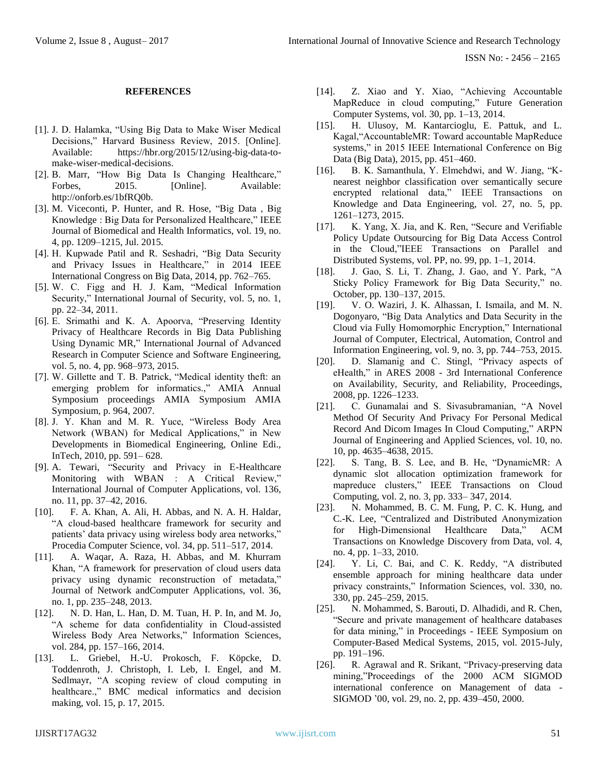#### **REFERENCES**

- [1]. J. D. Halamka, "Using Big Data to Make Wiser Medical Decisions," Harvard Business Review, 2015. [Online]. Available: https://hbr.org/2015/12/using-big-data-tomake-wiser-medical-decisions.
- [2]. B. Marr, "How Big Data Is Changing Healthcare," Forbes, 2015. [Online]. Available: http://onforb.es/1bfRQ0b.
- [3]. M. Viceconti, P. Hunter, and R. Hose, "Big Data , Big Knowledge : Big Data for Personalized Healthcare," IEEE Journal of Biomedical and Health Informatics, vol. 19, no. 4, pp. 1209–1215, Jul. 2015.
- [4]. H. Kupwade Patil and R. Seshadri, "Big Data Security and Privacy Issues in Healthcare," in 2014 IEEE International Congress on Big Data, 2014, pp. 762–765.
- [5]. W. C. Figg and H. J. Kam, "Medical Information Security," International Journal of Security, vol. 5, no. 1, pp. 22–34, 2011.
- [6]. E. Srimathi and K. A. Apoorva, "Preserving Identity Privacy of Healthcare Records in Big Data Publishing Using Dynamic MR," International Journal of Advanced Research in Computer Science and Software Engineering, vol. 5, no. 4, pp. 968–973, 2015.
- [7]. W. Gillette and T. B. Patrick, "Medical identity theft: an emerging problem for informatics.," AMIA Annual Symposium proceedings AMIA Symposium AMIA Symposium, p. 964, 2007.
- [8]. J. Y. Khan and M. R. Yuce, "Wireless Body Area Network (WBAN) for Medical Applications," in New Developments in Biomedical Engineering, Online Edi., InTech, 2010, pp. 591– 628.
- [9]. A. Tewari, "Security and Privacy in E-Healthcare Monitoring with WBAN : A Critical Review," International Journal of Computer Applications, vol. 136, no. 11, pp. 37–42, 2016.
- [10]. F. A. Khan, A. Ali, H. Abbas, and N. A. H. Haldar, "A cloud-based healthcare framework for security and patients' data privacy using wireless body area networks," Procedia Computer Science, vol. 34, pp. 511–517, 2014.
- [11]. A. Waqar, A. Raza, H. Abbas, and M. Khurram Khan, "A framework for preservation of cloud users data privacy using dynamic reconstruction of metadata," Journal of Network andComputer Applications, vol. 36, no. 1, pp. 235–248, 2013.
- [12]. N. D. Han, L. Han, D. M. Tuan, H. P. In, and M. Jo, "A scheme for data confidentiality in Cloud-assisted Wireless Body Area Networks," Information Sciences, vol. 284, pp. 157–166, 2014.
- [13]. L. Griebel, H.-U. Prokosch, F. Köpcke, D. Toddenroth, J. Christoph, I. Leb, I. Engel, and M. Sedlmayr, "A scoping review of cloud computing in healthcare.," BMC medical informatics and decision making, vol. 15, p. 17, 2015.
- [14]. Z. Xiao and Y. Xiao, "Achieving Accountable MapReduce in cloud computing," Future Generation Computer Systems, vol. 30, pp. 1–13, 2014.
- [15]. H. Ulusoy, M. Kantarcioglu, E. Pattuk, and L. Kagal,"AccountableMR: Toward accountable MapReduce systems," in 2015 IEEE International Conference on Big Data (Big Data), 2015, pp. 451–460.
- [16]. B. K. Samanthula, Y. Elmehdwi, and W. Jiang, "Knearest neighbor classification over semantically secure encrypted relational data," IEEE Transactions on Knowledge and Data Engineering, vol. 27, no. 5, pp. 1261–1273, 2015.
- [17]. K. Yang, X. Jia, and K. Ren, "Secure and Verifiable Policy Update Outsourcing for Big Data Access Control in the Cloud,"IEEE Transactions on Parallel and Distributed Systems, vol. PP, no. 99, pp. 1–1, 2014.
- [18]. J. Gao, S. Li, T. Zhang, J. Gao, and Y. Park, "A Sticky Policy Framework for Big Data Security," no. October, pp. 130–137, 2015.
- [19]. V. O. Waziri, J. K. Alhassan, I. Ismaila, and M. N. Dogonyaro, "Big Data Analytics and Data Security in the Cloud via Fully Homomorphic Encryption," International Journal of Computer, Electrical, Automation, Control and Information Engineering, vol. 9, no. 3, pp. 744–753, 2015.
- [20]. D. Slamanig and C. Stingl, "Privacy aspects of eHealth," in ARES 2008 - 3rd International Conference on Availability, Security, and Reliability, Proceedings, 2008, pp. 1226–1233.
- [21]. C. Gunamalai and S. Sivasubramanian, "A Novel Method Of Security And Privacy For Personal Medical Record And Dicom Images In Cloud Computing," ARPN Journal of Engineering and Applied Sciences, vol. 10, no. 10, pp. 4635–4638, 2015.
- [22]. S. Tang, B. S. Lee, and B. He, "DynamicMR: A dynamic slot allocation optimization framework for mapreduce clusters," IEEE Transactions on Cloud Computing, vol. 2, no. 3, pp. 333– 347, 2014.
- [23]. N. Mohammed, B. C. M. Fung, P. C. K. Hung, and C.-K. Lee, "Centralized and Distributed Anonymization for High-Dimensional Healthcare Data," ACM Transactions on Knowledge Discovery from Data, vol. 4, no. 4, pp. 1–33, 2010.
- [24]. Y. Li, C. Bai, and C. K. Reddy, "A distributed ensemble approach for mining healthcare data under privacy constraints," Information Sciences, vol. 330, no. 330, pp. 245–259, 2015.
- [25]. N. Mohammed, S. Barouti, D. Alhadidi, and R. Chen, "Secure and private management of healthcare databases for data mining," in Proceedings - IEEE Symposium on Computer-Based Medical Systems, 2015, vol. 2015-July, pp. 191–196.
- [26]. R. Agrawal and R. Srikant, "Privacy-preserving data mining,"Proceedings of the 2000 ACM SIGMOD international conference on Management of data - SIGMOD '00, vol. 29, no. 2, pp. 439–450, 2000.